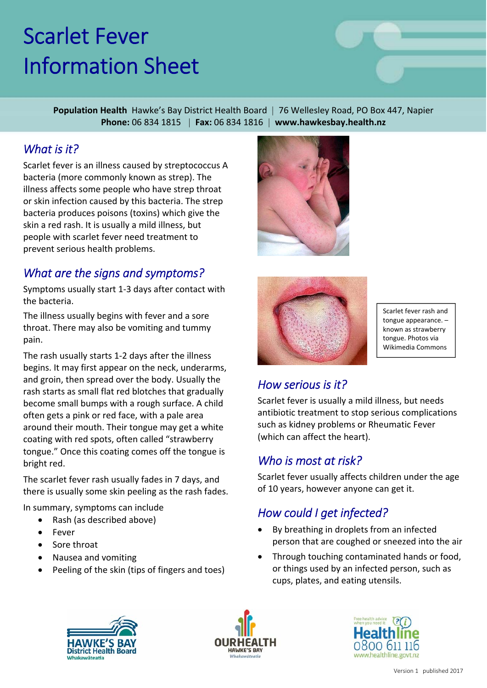# Scarlet Fever Information Sheet

**Population Health** Hawke's Bay District Health Board | 76 Wellesley Road, PO Box 447, Napier **Phone:** 06 834 1815 | **Fax:** 06 834 1816 | **www.hawkesbay.health.nz**

#### *What is it?*

Scarlet fever is an illness caused by streptococcus A bacteria (more commonly known as strep). The illness affects some people who have strep throat or skin infection caused by this bacteria. The strep bacteria produces poisons (toxins) which give the skin a red rash. It is usually a mild illness, but people with scarlet fever need treatment to prevent serious health problems.

### *What are the signs and symptoms?*

Symptoms usually start 1‐3 days after contact with the bacteria.

The illness usually begins with fever and a sore throat. There may also be vomiting and tummy pain.

The rash usually starts 1‐2 days after the illness begins. It may first appear on the neck, underarms, and groin, then spread over the body. Usually the rash starts as small flat red blotches that gradually become small bumps with a rough surface. A child often gets a pink or red face, with a pale area around their mouth. Their tongue may get a white coating with red spots, often called "strawberry tongue." Once this coating comes off the tongue is bright red.

The scarlet fever rash usually fades in 7 days, and there is usually some skin peeling as the rash fades.

In summary, symptoms can include

- Rash (as described above)
- Fever
- Sore throat
- Nausea and vomiting
- Peeling of the skin (tips of fingers and toes)





Scarlet fever rash and tongue appearance. – known as strawberry tongue. Photos via Wikimedia Commons

#### *How serious is it?*

Scarlet fever is usually a mild illness, but needs antibiotic treatment to stop serious complications such as kidney problems or Rheumatic Fever (which can affect the heart).

#### *Who is most at risk?*

Scarlet fever usually affects children under the age of 10 years, however anyone can get it.

#### *How could I get infected?*

- By breathing in droplets from an infected person that are coughed or sneezed into the air
- Through touching contaminated hands or food, or things used by an infected person, such as cups, plates, and eating utensils.